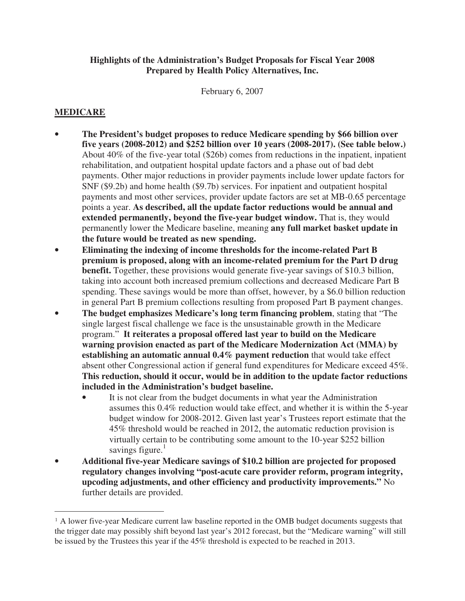#### **Highlights of the Administration's Budget Proposals for Fiscal Year 2008 Prepared by Health Policy Alternatives, Inc.**

February 6, 2007

#### **MEDICARE**

 $\overline{a}$ 

- **The President's budget proposes to reduce Medicare spending by \$66 billion over five years (2008-2012) and \$252 billion over 10 years (2008-2017). (See table below.)** About 40% of the five-year total (\$26b) comes from reductions in the inpatient, inpatient rehabilitation, and outpatient hospital update factors and a phase out of bad debt payments. Other major reductions in provider payments include lower update factors for SNF (\$9.2b) and home health (\$9.7b) services. For inpatient and outpatient hospital payments and most other services, provider update factors are set at MB-0.65 percentage points a year. **As described, all the update factor reductions would be annual and extended permanently, beyond the five-year budget window.** That is, they would permanently lower the Medicare baseline, meaning **any full market basket update in the future would be treated as new spending.**
- **Eliminating the indexing of income thresholds for the income-related Part B premium is proposed, along with an income-related premium for the Part D drug benefit.** Together, these provisions would generate five-year savings of \$10.3 billion, taking into account both increased premium collections and decreased Medicare Part B spending. These savings would be more than offset, however, by a \$6.0 billion reduction in general Part B premium collections resulting from proposed Part B payment changes.
- **The budget emphasizes Medicare's long term financing problem**, stating that "The single largest fiscal challenge we face is the unsustainable growth in the Medicare program." **It reiterates a proposal offered last year to build on the Medicare warning provision enacted as part of the Medicare Modernization Act (MMA) by establishing an automatic annual 0.4% payment reduction** that would take effect absent other Congressional action if general fund expenditures for Medicare exceed 45%. **This reduction, should it occur, would be in addition to the update factor reductions included in the Administration's budget baseline.**
	- It is not clear from the budget documents in what year the Administration assumes this 0.4% reduction would take effect, and whether it is within the 5-year budget window for 2008-2012. Given last year's Trustees report estimate that the 45% threshold would be reached in 2012, the automatic reduction provision is virtually certain to be contributing some amount to the 10-year \$252 billion savings figure. $1$
- **Additional five-year Medicare savings of \$10.2 billion are projected for proposed regulatory changes involving "post-acute care provider reform, program integrity, upcoding adjustments, and other efficiency and productivity improvements."** No further details are provided.

<sup>&</sup>lt;sup>1</sup> A lower five-year Medicare current law baseline reported in the OMB budget documents suggests that the trigger date may possibly shift beyond last year's 2012 forecast, but the "Medicare warning" will still be issued by the Trustees this year if the 45% threshold is expected to be reached in 2013.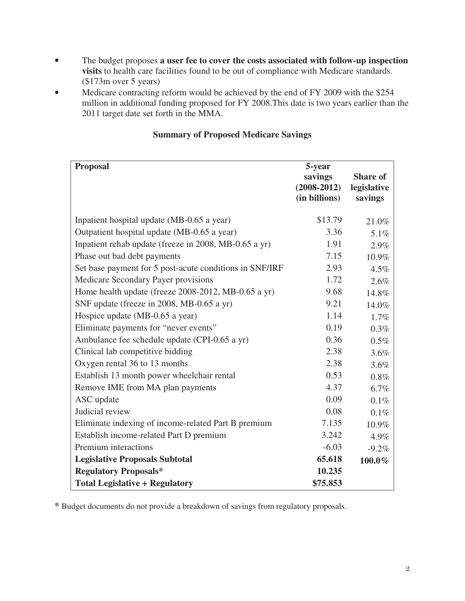- The budget proposes **a user fee to cover the costs associated with follow-up inspection visits** to health care facilities found to be out of compliance with Medicare standards. (\$173m over 5 years)
- Medicare contracting reform would be achieved by the end of FY 2009 with the \$254 million in additional funding proposed for FY 2008.This date is two years earlier than the 2011 target date set forth in the MMA.

| <b>Proposal</b>                                         | 5-year<br>savings<br>$(2008 - 2012)$<br>(in billions) | <b>Share of</b><br>legislative<br>savings |
|---------------------------------------------------------|-------------------------------------------------------|-------------------------------------------|
| Inpatient hospital update (MB-0.65 a year)              | \$13.79                                               | 21.0%                                     |
| Outpatient hospital update (MB-0.65 a year)             | 3.36                                                  | 5.1%                                      |
| Inpatient rehab update (freeze in 2008, MB-0.65 a yr)   | 1.91                                                  | 2.9%                                      |
| Phase out bad debt payments                             | 7.15                                                  | 10.9%                                     |
| Set base payment for 5 post-acute conditions in SNF/IRF | 2.93                                                  | 4.5%                                      |
| Medicare Secondary Payer provisions                     | 1.72                                                  | 2.6%                                      |
| Home health update (freeze 2008-2012, MB-0.65 a yr)     | 9.68                                                  | 14.8%                                     |
| SNF update (freeze in 2008, MB-0.65 a yr)               | 9.21                                                  | 14.0%                                     |
| Hospice update (MB-0.65 a year)                         | 1.14                                                  | 1.7%                                      |
| Eliminate payments for "never events"                   | 0.19                                                  | 0.3%                                      |
| Ambulance fee schedule update (CPI-0.65 a yr)           | 0.36                                                  | 0.5%                                      |
| Clinical lab competitive bidding                        | 2.38                                                  | 3.6%                                      |
| Oxygen rental 36 to 13 months                           | 2.38                                                  | 3.6%                                      |
| Establish 13 month power wheelchair rental              | 0.53                                                  | 0.8%                                      |
| Remove IME from MA plan payments                        | 4.37                                                  | 6.7%                                      |
| ASC update                                              | 0.09                                                  | 0.1%                                      |
| Judicial review                                         | 0.08                                                  | 0.1%                                      |
| Eliminate indexing of income-related Part B premium     | 7.135                                                 | 10.9%                                     |
| Establish income-related Part D premium                 | 3.242                                                 | 4.9%                                      |
| Premium interactions                                    | $-6.03$                                               | $-9.2%$                                   |
| <b>Legislative Proposals Subtotal</b>                   | 65.618                                                | 100.0%                                    |
| <b>Regulatory Proposals*</b>                            | 10.235                                                |                                           |
| <b>Total Legislative + Regulatory</b>                   | \$75.853                                              |                                           |

# **Summary of Proposed Medicare Savings**

**\*** Budget documents do not provide a breakdown of savings from regulatory proposals.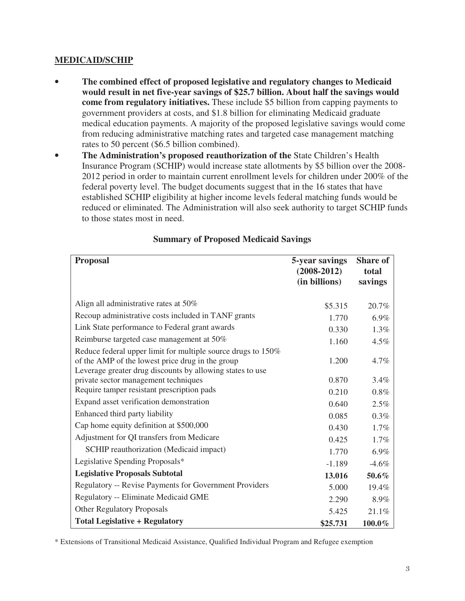### **MEDICAID/SCHIP**

- **The combined effect of proposed legislative and regulatory changes to Medicaid would result in net five-year savings of \$25.7 billion. About half the savings would come from regulatory initiatives.** These include \$5 billion from capping payments to government providers at costs, and \$1.8 billion for eliminating Medicaid graduate medical education payments. A majority of the proposed legislative savings would come from reducing administrative matching rates and targeted case management matching rates to 50 percent (\$6.5 billion combined).
- The Administration's proposed reauthorization of the State Children's Health Insurance Program (SCHIP) would increase state allotments by \$5 billion over the 2008- 2012 period in order to maintain current enrollment levels for children under 200% of the federal poverty level. The budget documents suggest that in the 16 states that have established SCHIP eligibility at higher income levels federal matching funds would be reduced or eliminated. The Administration will also seek authority to target SCHIP funds to those states most in need.

| <b>Proposal</b>                                                                                                                                                               | 5-year savings<br>$(2008 - 2012)$<br>(in billions) | <b>Share of</b><br>total<br>savings |
|-------------------------------------------------------------------------------------------------------------------------------------------------------------------------------|----------------------------------------------------|-------------------------------------|
| Align all administrative rates at 50%                                                                                                                                         | \$5.315                                            | 20.7%                               |
| Recoup administrative costs included in TANF grants                                                                                                                           | 1.770                                              | 6.9%                                |
| Link State performance to Federal grant awards                                                                                                                                | 0.330                                              | 1.3%                                |
| Reimburse targeted case management at 50%                                                                                                                                     | 1.160                                              | 4.5%                                |
| Reduce federal upper limit for multiple source drugs to 150%<br>of the AMP of the lowest price drug in the group<br>Leverage greater drug discounts by allowing states to use | 1.200                                              | 4.7%                                |
| private sector management techniques                                                                                                                                          | 0.870                                              | 3.4%                                |
| Require tamper resistant prescription pads                                                                                                                                    | 0.210                                              | 0.8%                                |
| Expand asset verification demonstration                                                                                                                                       | 0.640                                              | 2.5%                                |
| Enhanced third party liability                                                                                                                                                | 0.085                                              | 0.3%                                |
| Cap home equity definition at \$500,000                                                                                                                                       | 0.430                                              | 1.7%                                |
| Adjustment for QI transfers from Medicare                                                                                                                                     | 0.425                                              | 1.7%                                |
| SCHIP reauthorization (Medicaid impact)                                                                                                                                       | 1.770                                              | 6.9%                                |
| Legislative Spending Proposals*                                                                                                                                               | $-1.189$                                           | $-4.6%$                             |
| <b>Legislative Proposals Subtotal</b>                                                                                                                                         | 13.016                                             | 50.6%                               |
| Regulatory -- Revise Payments for Government Providers                                                                                                                        | 5.000                                              | 19.4%                               |
| Regulatory -- Eliminate Medicaid GME                                                                                                                                          | 2.290                                              | 8.9%                                |
| <b>Other Regulatory Proposals</b>                                                                                                                                             | 5.425                                              | 21.1%                               |
| <b>Total Legislative + Regulatory</b>                                                                                                                                         | \$25.731                                           | 100.0%                              |

# **Summary of Proposed Medicaid Savings**

\* Extensions of Transitional Medicaid Assistance, Qualified Individual Program and Refugee exemption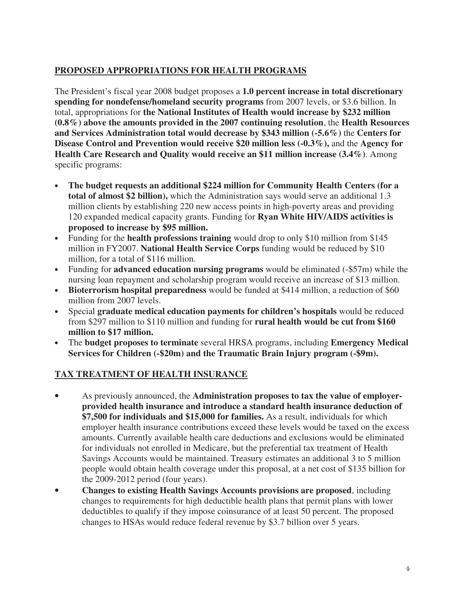# **PROPOSED APPROPRIATIONS FOR HEALTH PROGRAMS**

The President's fiscal year 2008 budget proposes a **1.0 percent increase in total discretionary spending for nondefense/homeland security programs** from 2007 levels, or \$3.6 billion. In total, appropriations for **the National Institutes of Health would increase by \$232 million (0.8%) above the amounts provided in the 2007 continuing resolution**, the **Health Resources and Services Administration total would decrease by \$343 million (-5.6%)** the **Centers for Disease Control and Prevention would receive \$20 million less (-0.3%),** and the **Agency for Health Care Research and Quality would receive an \$11 million increase (3.4%)**. Among specific programs:

- **The budget requests an additional \$224 million for Community Health Centers (for a total of almost \$2 billion),** which the Administration says would serve an additional 1.3 million clients by establishing 220 new access points in high-poverty areas and providing 120 expanded medical capacity grants. Funding for **Ryan White HIV/AIDS activities is proposed to increase by \$95 million.**
- Funding for the **health professions training** would drop to only \$10 million from \$145 million in FY2007. **National Health Service Corps** funding would be reduced by \$10 million, for a total of \$116 million.
- Funding for **advanced education nursing programs** would be eliminated (-\$57m) while the nursing loan repayment and scholarship program would receive an increase of \$13 million.
- **Bioterrorism hospital preparedness** would be funded at \$414 million, a reduction of \$60 million from 2007 levels.
- Special **graduate medical education payments for children's hospitals** would be reduced from \$297 million to \$110 million and funding for **rural health would be cut from \$160 million to \$17 million.**
- The **budget proposes to terminate** several HRSA programs, including **Emergency Medical Services for Children (-\$20m) and the Traumatic Brain Injury program (-\$9m).**

### **TAX TREATMENT OF HEALTH INSURANCE**

- As previously announced, the **Administration proposes to tax the value of employerprovided health insurance and introduce a standard health insurance deduction of \$7,500 for individuals and \$15,000 for families.** As a result, individuals for which employer health insurance contributions exceed these levels would be taxed on the excess amounts. Currently available health care deductions and exclusions would be eliminated for individuals not enrolled in Medicare, but the preferential tax treatment of Health Savings Accounts would be maintained. Treasury estimates an additional 3 to 5 million people would obtain health coverage under this proposal, at a net cost of \$135 billion for the 2009-2012 period (four years).
- **Changes to existing Health Savings Accounts provisions are proposed**, including changes to requirements for high deductible health plans that permit plans with lower deductibles to qualify if they impose coinsurance of at least 50 percent. The proposed changes to HSAs would reduce federal revenue by \$3.7 billion over 5 years.